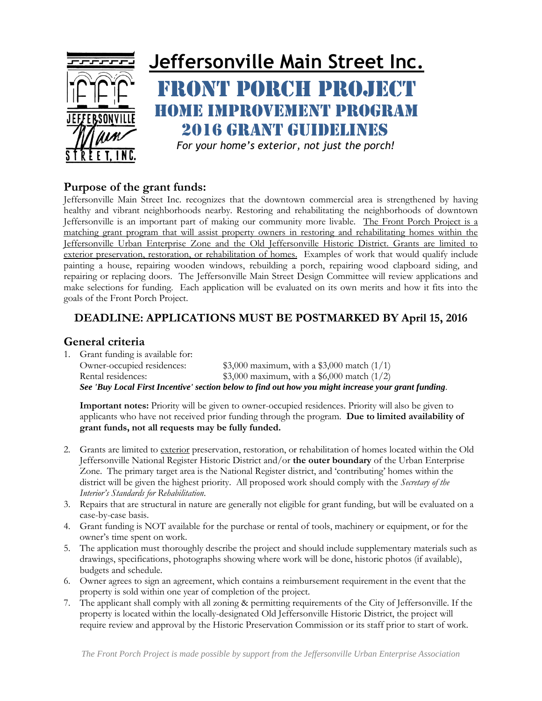

# **Jeffersonville Main Street Inc.** RONT PORCH PROJECT Home Improvement Program 2016 grant guidelines

*<sup>F</sup>or your home's exterior, not just the porch!*

#### **Purpose of the grant funds:**

Jeffersonville Main Street Inc. recognizes that the downtown commercial area is strengthened by having healthy and vibrant neighborhoods nearby. Restoring and rehabilitating the neighborhoods of downtown Jeffersonville is an important part of making our community more livable. The Front Porch Project is a matching grant program that will assist property owners in restoring and rehabilitating homes within the Jeffersonville Urban Enterprise Zone and the Old Jeffersonville Historic District. Grants are limited to exterior preservation, restoration, or rehabilitation of homes. Examples of work that would qualify include painting a house, repairing wooden windows, rebuilding a porch, repairing wood clapboard siding, and repairing or replacing doors. The Jeffersonville Main Street Design Committee will review applications and make selections for funding. Each application will be evaluated on its own merits and how it fits into the goals of the Front Porch Project.

# **DEADLINE: APPLICATIONS MUST BE POSTMARKED BY April 15, 2016**

## **General criteria**

1. Grant funding is available for: Owner-occupied residences: \$3,000 maximum, with a \$3,000 match (1/1) Rental residences: \$3,000 maximum, with a \$6,000 match (1/2) *See 'Buy Local First Incentive' section below to find out how you might increase your grant funding.* 

**Important notes:** Priority will be given to owner-occupied residences. Priority will also be given to applicants who have not received prior funding through the program. **Due to limited availability of grant funds, not all requests may be fully funded.** 

- 2. Grants are limited to exterior preservation, restoration, or rehabilitation of homes located within the Old Jeffersonville National Register Historic District and/or **the outer boundary** of the Urban Enterprise Zone. The primary target area is the National Register district, and 'contributing' homes within the district will be given the highest priority. All proposed work should comply with the *Secretary of the Interior's Standards for Rehabilitation*.
- 3. Repairs that are structural in nature are generally not eligible for grant funding, but will be evaluated on a case-by-case basis.
- 4. Grant funding is NOT available for the purchase or rental of tools, machinery or equipment, or for the owner's time spent on work.
- 5. The application must thoroughly describe the project and should include supplementary materials such as drawings, specifications, photographs showing where work will be done, historic photos (if available), budgets and schedule.
- 6. Owner agrees to sign an agreement, which contains a reimbursement requirement in the event that the property is sold within one year of completion of the project.
- 7. The applicant shall comply with all zoning & permitting requirements of the City of Jeffersonville. If the property is located within the locally-designated Old Jeffersonville Historic District, the project will require review and approval by the Historic Preservation Commission or its staff prior to start of work.